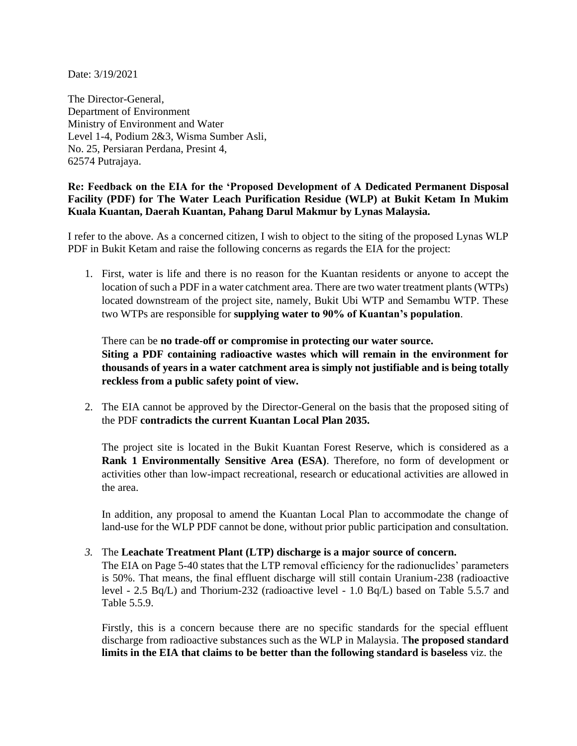Date: 3/19/2021

The Director-General, Department of Environment Ministry of Environment and Water Level 1-4, Podium 2&3, Wisma Sumber Asli, No. 25, Persiaran Perdana, Presint 4, 62574 Putrajaya.

## **Re: Feedback on the EIA for the 'Proposed Development of A Dedicated Permanent Disposal Facility (PDF) for The Water Leach Purification Residue (WLP) at Bukit Ketam In Mukim Kuala Kuantan, Daerah Kuantan, Pahang Darul Makmur by Lynas Malaysia.**

I refer to the above. As a concerned citizen, I wish to object to the siting of the proposed Lynas WLP PDF in Bukit Ketam and raise the following concerns as regards the EIA for the project:

1. First, water is life and there is no reason for the Kuantan residents or anyone to accept the location of such a PDF in a water catchment area. There are two water treatment plants (WTPs) located downstream of the project site, namely, Bukit Ubi WTP and Semambu WTP. These two WTPs are responsible for **supplying water to 90% of Kuantan's population**.

## There can be **no trade-off or compromise in protecting our water source. Siting a PDF containing radioactive wastes which will remain in the environment for thousands of years in a water catchment area is simply not justifiable and is being totally reckless from a public safety point of view.**

2. The EIA cannot be approved by the Director-General on the basis that the proposed siting of the PDF **contradicts the current Kuantan Local Plan 2035.** 

The project site is located in the Bukit Kuantan Forest Reserve, which is considered as a **Rank 1 Environmentally Sensitive Area (ESA)**. Therefore, no form of development or activities other than low-impact recreational, research or educational activities are allowed in the area.

In addition, any proposal to amend the Kuantan Local Plan to accommodate the change of land-use for the WLP PDF cannot be done, without prior public participation and consultation.

## *3.* The **Leachate Treatment Plant (LTP) discharge is a major source of concern.**

The EIA on Page 5-40 states that the LTP removal efficiency for the radionuclides' parameters is 50%. That means, the final effluent discharge will still contain Uranium-238 (radioactive level - 2.5 Bq/L) and Thorium-232 (radioactive level - 1.0 Bq/L) based on Table 5.5.7 and Table 5.5.9.

Firstly, this is a concern because there are no specific standards for the special effluent discharge from radioactive substances such as the WLP in Malaysia. T**he proposed standard limits in the EIA that claims to be better than the following standard is baseless** viz. the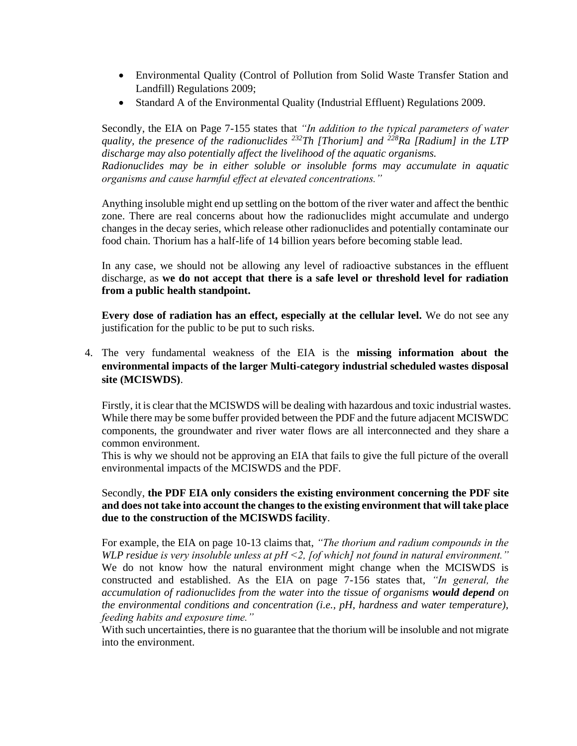- Environmental Quality (Control of Pollution from Solid Waste Transfer Station and Landfill) Regulations 2009;
- Standard A of the Environmental Quality (Industrial Effluent) Regulations 2009.

Secondly, the EIA on Page 7-155 states that *"In addition to the typical parameters of water quality, the presence of the radionuclides <sup>232</sup>Th [Thorium] and <sup>228</sup>Ra [Radium] in the LTP discharge may also potentially affect the livelihood of the aquatic organisms. Radionuclides may be in either soluble or insoluble forms may accumulate in aquatic organisms and cause harmful effect at elevated concentrations."*

Anything insoluble might end up settling on the bottom of the river water and affect the benthic zone. There are real concerns about how the radionuclides might accumulate and undergo changes in the decay series, which release other radionuclides and potentially contaminate our food chain. Thorium has a half-life of 14 billion years before becoming stable lead.

In any case, we should not be allowing any level of radioactive substances in the effluent discharge, as **we do not accept that there is a safe level or threshold level for radiation from a public health standpoint.** 

**Every dose of radiation has an effect, especially at the cellular level.** We do not see any justification for the public to be put to such risks.

4. The very fundamental weakness of the EIA is the **missing information about the environmental impacts of the larger Multi-category industrial scheduled wastes disposal site (MCISWDS)**.

Firstly, it is clear that the MCISWDS will be dealing with hazardous and toxic industrial wastes. While there may be some buffer provided between the PDF and the future adjacent MCISWDC components, the groundwater and river water flows are all interconnected and they share a common environment.

This is why we should not be approving an EIA that fails to give the full picture of the overall environmental impacts of the MCISWDS and the PDF.

## Secondly, **the PDF EIA only considers the existing environment concerning the PDF site and does not take into account the changes to the existing environment that will take place due to the construction of the MCISWDS facility**.

For example, the EIA on page 10-13 claims that, *"The thorium and radium compounds in the WLP residue is very insoluble unless at pH <2, [of which] not found in natural environment."* We do not know how the natural environment might change when the MCISWDS is constructed and established. As the EIA on page 7-156 states that, *"In general, the accumulation of radionuclides from the water into the tissue of organisms would depend on the environmental conditions and concentration (i.e., pH, hardness and water temperature), feeding habits and exposure time."* 

With such uncertainties, there is no guarantee that the thorium will be insoluble and not migrate into the environment.